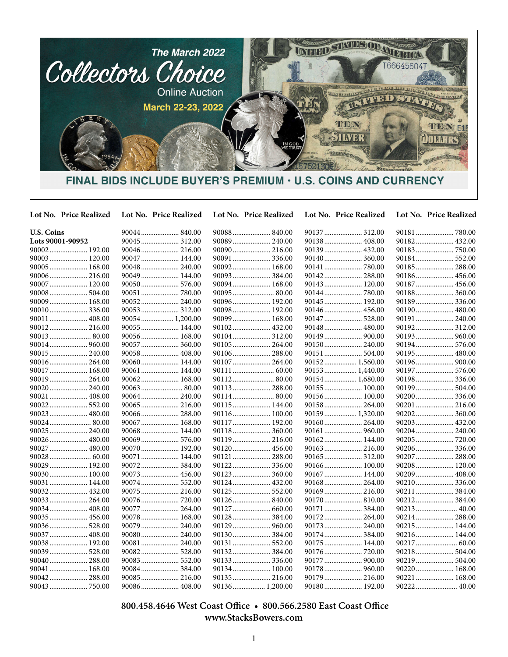

**Lot No. Price Realized Lot No. Price Realized Lot No. Price Realized Lot No. Price Realized Lot No. Price Realized**

| <b>U.S. Coins</b> |                | 90088  840.00  | 90137  312.00   | 90181  780.00 |
|-------------------|----------------|----------------|-----------------|---------------|
| Lots 90001-90952  | 90045 312.00   | 90089 240.00   | 90138 408.00    | 90182 432.00  |
| 90002 192.00      | 90046 216.00   | 90090 216.00   |                 | 90183750.00   |
| 90003 120.00      | 90047 144.00   |                |                 |               |
| 90005 168.00      | 90048 240.00   | 90092 168.00   |                 | 90185 288.00  |
| 90006 216.00      | 90049 144.00   |                |                 |               |
| 90007  120.00     | 90050 576.00   | 90094 168.00   | 90143  120.00   | 90187  456.00 |
| 90008 504.00      | 90051  780.00  |                | 90144  780.00   | 90188 360.00  |
| 90009 168.00      | 90052 240.00   | 90096 192.00   | 90145  192.00   | 90189 336.00  |
|                   |                | 90098 192.00   |                 | 90190 480.00  |
| 90011 408.00      | 90054 1,200.00 | 90099 168.00   |                 | 90191 240.00  |
| 90012 216.00      | 90055 144.00   | 90102 432.00   | 90148 480.00    | 90192 312.00  |
|                   | 90056 168.00   |                |                 |               |
| 90014 960.00      |                |                |                 | 90194  576.00 |
| 90015 240.00      | 90058 408.00   |                |                 |               |
| 90016 264.00      | 90060 144.00   | 90107  264.00  | 90152 1,560.00  | 90196 900.00  |
| 90017  168.00     | 90061 144.00   |                | 90153 1,440.00  |               |
| 90019 264.00      | 90062 168.00   |                | 90154  1,680.00 | 90198 336.00  |
| 90020 240.00      |                | 90113 288.00   | 90155  100.00   | 90199 504.00  |
| 90021  408.00     | 90064 240.00   | 90114 80.00    | 90156 100.00    | 90200 336.00  |
| 90022 552.00      | 90065 216.00   | 90115 144.00   | 90158 264.00    | 90201  216.00 |
| 90023  480.00     | 90066 288.00   | 90116 100.00   | 90159  1,320.00 |               |
|                   | 90067  168.00  | 90117 192.00   |                 | 90203 432.00  |
| 90025  240.00     | 90068 144.00   | 90118 360.00   | 90161  960.00   | 90204  240.00 |
| 90026 480.00      | 90069 576.00   |                | 90162 144.00    | 90205  720.00 |
| 90027  480.00     | 90070 192.00   | 90120 456.00   | 90163  216.00   | 90206 336.00  |
| 90028 60.00       | 90071 144.00   | 90121  288.00  |                 | 90207  288.00 |
| 90029  192.00     | 90072 384.00   |                | 90166 100.00    | 90208 120.00  |
| 90030 100.00      | 90073 456.00   |                | 90167  144.00   | 90209  408.00 |
| 90031 144.00      | 90074 552.00   | 90124  432.00  | 90168 264.00    | 90210 336.00  |
| 90032 432.00      | 90075 216.00   | 90125  552.00  |                 | 90211  384.00 |
| 90033 264.00      |                |                |                 |               |
| 90034  408.00     | 90077 264.00   | 90127  660.00  | 90171  384.00   |               |
| 90035 456.00      | 90078 168.00   | 90128 384.00   | 90172 264.00    | 90214 288.00  |
| 90036 528.00      | 90079 240.00   | 90129  960.00  |                 | 90215 144.00  |
| 90037  408.00     | 90080 240.00   |                |                 | 90216 144.00  |
| 90038 192.00      | 90081 240.00   |                | 90175 144.00    |               |
| 90039  528.00     |                |                | 90176720.00     |               |
| 90040 288.00      | 90083 552.00   | 90133 336.00   | 90177  900.00   | 90219 504.00  |
| 90041  168.00     | 90084 384.00   | 90134 100.00   |                 | 90220  168.00 |
| 90042 288.00      | 90085 216.00   | 90135 216.00   | 90179  216.00   | 90221  168.00 |
| 90043  750.00     | 90086 408.00   | 90136 1,200.00 | 90180 192.00    | 90222 40.00   |

 **800.458.4646 West Coast Office • 800.566.2580 East Coast Office www.StacksBowers.com**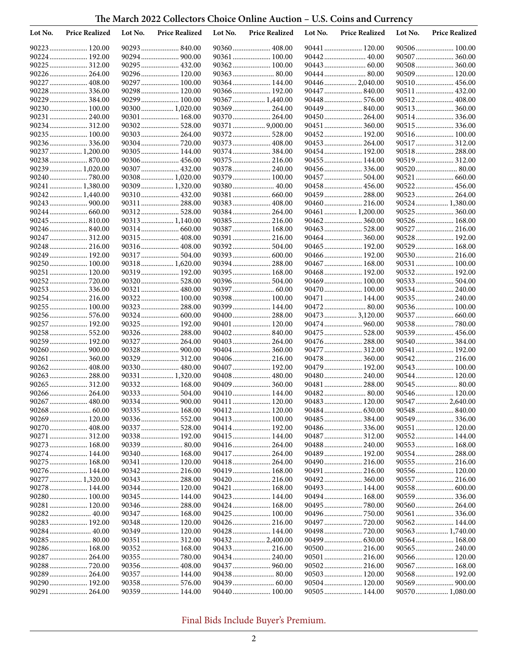## **The March 2022 Collectors Choice Online Auction – U.S. Coins and Currency**

| Lot No. | <b>Price Realized</b>         | Lot No. | <b>Price Realized</b>        | Lot No. | <b>Price Realized</b>        | Lot No. | <b>Price Realized</b>         | Lot No. | <b>Price Realized</b>        |
|---------|-------------------------------|---------|------------------------------|---------|------------------------------|---------|-------------------------------|---------|------------------------------|
|         | 90223 120.00                  |         | 90293 840.00                 |         |                              |         | 90441  120.00                 |         |                              |
|         | 90224 192.00                  |         | 90294 900.00                 |         | 90361  100.00                |         | 90442 40.00                   |         | 90507  360.00                |
|         | 90225  312.00                 |         | 90295 432.00                 |         | 90362 100.00                 |         |                               |         |                              |
|         | 90226  264.00                 |         | 90296 120.00                 |         |                              |         | 90444  80.00                  |         | 90509 120.00                 |
|         | 90227  408.00                 |         | 90297 100.00                 |         | 90364 144.00                 |         | 90446  2,040.00               |         | 90510 456.00                 |
|         |                               |         | 90298 120.00                 |         | 90366 192.00                 |         |                               |         | 90511  432.00                |
|         |                               |         | 90299 100.00                 |         | 90367  1,440.00              |         |                               |         | 90512 408.00                 |
|         | 90230 100.00                  |         | 90300 1,020.00               |         | 90369  264.00                |         | 90449  840.00                 |         | 90513 360.00                 |
|         | 90231  240.00                 |         | 90301 168.00                 |         | 90370  264.00                |         | 90450 264.00                  |         | 90514 336.00                 |
|         | 90234 312.00<br>90235  100.00 |         | 90302 528.00<br>90303 264.00 |         | 90371  9,000.00              |         | 90451  360.00<br>90452 192.00 |         | 90515 336.00<br>90516 100.00 |
|         | 90236336.00                   |         |                              |         | 90373  408.00                |         | 90453  264.00                 |         | 90517  312.00                |
|         | 90237  1,200.00               |         | 90305 144.00                 |         | 90374 384.00                 |         | 90454 192.00                  |         | 90518 288.00                 |
|         | 90238 870.00                  |         | 90306 456.00                 |         | 90375  216.00                |         | 90455  144.00                 |         |                              |
|         | 90239  1,020.00               |         | 90307  432.00                |         |                              |         |                               |         | 90520 80.00                  |
|         | 90240  780.00                 |         | 90308 1,020.00               |         | 90379 100.00                 |         |                               |         |                              |
|         | 90241  1,380.00               |         | 90309 1,320.00               |         | 90380 40.00                  |         |                               |         |                              |
|         | 90242 1,440.00                |         | 90310 432.00                 |         | 90381  660.00                |         |                               |         |                              |
|         | 90243  900.00                 |         | 90311 288.00                 |         | 90383 408.00                 |         |                               |         | 90524  1,380.00              |
|         | 90244 660.00                  |         | 90312 528.00                 |         | 90384 264.00                 |         | 90461  1,200.00               |         | 90525  360.00                |
|         |                               |         | 90313 1,140.00               |         | 90385 216.00                 |         | 90462 360.00                  |         | 90526 168.00                 |
|         | 90246  840.00                 |         |                              |         | 90387 168.00                 |         |                               |         | 90527  216.00                |
|         | 90247  312.00                 |         | 90315 408.00                 |         |                              |         |                               |         | 90528 192.00                 |
|         | 90248 216.00                  |         | 90316 408.00                 |         |                              |         | 90465  192.00                 |         | 90529  168.00                |
|         | 90249  192.00                 |         | 90317 504.00                 |         |                              |         | 90466  192.00                 |         | 90530 216.00                 |
|         | 90250 100.00                  |         | 90318 1,620.00               |         | 90394  288.00                |         | 90467  168.00                 |         | 90531  100.00                |
|         | 90251  120.00                 |         | 90319 192.00<br>90320 528.00 |         | 90395 168.00<br>90396 504.00 |         | 90468 192.00<br>90469  100.00 |         | 90532 192.00<br>90533 504.00 |
|         | 90253336.00                   |         | 90321  480.00                |         | 90397  60.00                 |         | 90470  100.00                 |         |                              |
|         | 90254  216.00                 |         | 90322 100.00                 |         | 90398 100.00                 |         | 90471  144.00                 |         |                              |
|         | 90255  100.00                 |         | 90323 288.00                 |         | 90399  144.00                |         |                               |         | 90536 100.00                 |
|         | 90256 576.00                  |         | 90324 600.00                 |         | 90400  288.00                |         | 90473  3,120.00               |         | 90537  660.00                |
|         | 90257  192.00                 |         | 90325 192.00                 |         | 90401  120.00                |         |                               |         |                              |
|         | 90258 552.00                  |         | 90326 288.00                 |         |                              |         |                               |         |                              |
|         | 90259  192.00                 |         | 90327  264.00                |         | 90403  264.00                |         |                               |         | 90540 384.00                 |
|         |                               |         | 90328 900.00                 |         | 90404 360.00                 |         | 90477  312.00                 |         | 90541  192.00                |
|         | 90261  360.00                 |         | 90329 312.00                 |         |                              |         | 90478  360.00                 |         |                              |
|         | 90262 408.00                  |         | 90330 480.00                 |         | 90407  192.00                |         | 90479  192.00                 |         | 90543  100.00                |
|         | 90263  288.00                 |         | 90331 1,320.00               |         | 90408 480.00                 |         | 90480 240.00                  |         | 90544 120.00                 |
|         | 90265  312.00                 |         | 90332 168.00                 |         | 90409  360.00                |         | 90481  288.00                 |         | 90545  80.00                 |
|         | 90266  264.00                 |         |                              |         | 90410 144.00                 |         |                               |         | 90546 120.00                 |
|         |                               |         | 90335 168.00                 |         | 90411 120.00<br>90412 120.00 |         | 90483 120.00                  |         | 90547  2,640.00              |
|         | 90269  120.00                 |         |                              |         | 90413 100.00                 |         | 90485  384.00                 |         | 90549  336.00                |
|         | 90270  408.00                 |         |                              |         | 90414 192.00                 |         |                               |         | 90551  120.00                |
|         | 90271  312.00                 |         | 90338 192.00                 |         | 90415 144.00                 |         | 90487  312.00                 |         | 90552 144.00                 |
|         | 90273  168.00                 |         |                              |         |                              |         |                               |         | 90553 168.00                 |
|         | 90274 144.00                  |         | 90340 168.00                 |         |                              |         | 90489  192.00                 |         | 90554 288.00                 |
|         | 90275  168.00                 |         | 90341 120.00                 |         |                              |         | 90490 216.00                  |         |                              |
|         | 90276 144.00                  |         |                              |         | 90419 168.00                 |         | 90491  216.00                 |         | 90556 120.00                 |
|         | 90277  1,320.00               |         |                              |         |                              |         |                               |         |                              |
|         | 90278 144.00                  |         | 90344 120.00                 |         | 90421  168.00                |         | 90493 144.00                  |         | 90558 600.00                 |
|         | 90280 100.00                  |         | 90345 144.00                 |         | 90423  144.00                |         | 90494  168.00                 |         | 90559  336.00                |
|         | 90281 120.00                  |         |                              |         | 90424  168.00                |         |                               |         |                              |
|         | 90282 40.00                   |         | 90347 168.00                 |         |                              |         |                               |         |                              |
|         | 90283  192.00                 |         | 90348 120.00                 |         | 90426 216.00                 |         | 90497  720.00                 |         | 90562 144.00                 |
|         | 90284 40.00                   |         | 90349 120.00                 |         | 90428 144.00                 |         | 90498  720.00                 |         | 90563 1,740.00               |
|         | 90285 80.00<br>90286 168.00   |         | 90351 312.00<br>90352 168.00 |         |                              |         | 90500  216.00                 |         | 90564 168.00<br>90565 240.00 |
|         | 90287  264.00                 |         |                              |         |                              |         |                               |         |                              |
|         | 90288720.00                   |         | 90356 408.00                 |         |                              |         | 90502 216.00                  |         | 90567  168.00                |
|         |                               |         | 90357 144.00                 |         | 90438 80.00                  |         | 90503 120.00                  |         |                              |
|         | 90290 192.00                  |         |                              |         |                              |         | 90504 120.00                  |         |                              |
|         | 90291  264.00                 |         | 90359 144.00                 |         | 90440 100.00                 |         |                               |         | 90570  1,080.00              |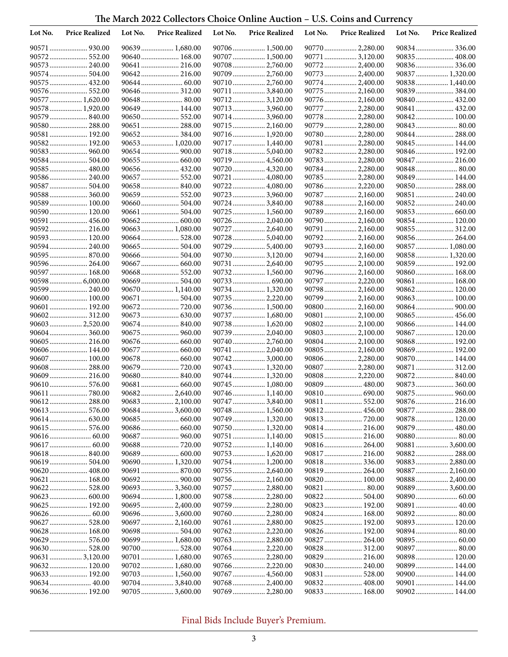### **The March 2022 Collectors Choice Online Auction – U.S. Coins and Currency**

| Lot No. | <b>Price Realized</b>         | Lot No. | <b>Price Realized</b>         | Lot No. | <b>Price Realized</b>             | Lot No. | <b>Price Realized</b>              | Lot No. | <b>Price Realized</b>             |
|---------|-------------------------------|---------|-------------------------------|---------|-----------------------------------|---------|------------------------------------|---------|-----------------------------------|
|         | 90571  930.00                 |         | 90639 1,680.00                |         | 90706 1,500.00                    |         |                                    |         | 90834 336.00                      |
|         |                               |         | 90640 168.00                  |         | 90707  1,500.00                   |         | 90771  3,120.00                    |         | 90835 408.00                      |
|         | 90573 240.00                  |         | 90641  216.00                 |         | 90708  2,760.00                   |         | 90772 2,400.00                     |         | 90836 336.00                      |
|         | 90574  504.00                 |         | 90642 216.00                  |         | 90709  2,760.00                   |         | 90773  2,400.00                    |         | 90837  1,320.00                   |
|         | 90575  432.00                 |         |                               |         |                                   |         | 90774 2,400.00                     |         | 90838 1,440.00                    |
|         |                               |         | 90646 312.00                  |         | 90711  3,840.00                   |         | 90775  2,160.00                    |         | 90839 384.00                      |
|         | 90577  1,620.00               |         |                               |         | 907123,120.00                     |         | 90776  2,160.00                    |         |                                   |
|         | 90578 1,920.00                |         | 90649 144.00                  |         | 90713 3,960.00                    |         | 90777  2,280.00                    |         | 90841  432.00                     |
|         | 90579  840.00                 |         | 90650 552.00                  |         | 907143,960.00                     |         | 90778  2,280.00                    |         | 90842 100.00                      |
|         |                               |         | 90651  288.00                 |         | 90715  2,160.00                   |         | 90779  2,280.00                    |         |                                   |
|         | 90581  192.00                 |         | 90652384.00                   |         | 90716 1,920.00                    |         | 90780  2,280.00                    |         | 90844  288.00                     |
|         | 90582 192.00                  |         | 90653 1,020.00                |         | 90717 1,440.00                    |         | 90781  2,280.00                    |         | 90845  144.00                     |
|         | 90583 960.00                  |         |                               |         | 907185,040.00                     |         | 90782 2,280.00                     |         | 90846 192.00                      |
|         |                               |         |                               |         | 90719  4,560.00                   |         | 90783  2,280.00                    |         | 90847  216.00                     |
|         | 90585  480.00                 |         | 90656 432.00                  |         | 90720  4,320.00                   |         | 90784  2,280.00                    |         | 90848 80.00                       |
|         | 90586 240.00                  |         | 90657  552.00                 |         | 90721  4,080.00                   |         | 90785  2,280.00                    |         | 90849  144.00                     |
|         | 90587  504.00                 |         | 90658840.00                   |         | 90722 4,080.00                    |         | 90786 2,220.00                     |         | 90850  288.00                     |
|         | 90588 360.00                  |         | 90659 552.00                  |         | 90723  3,960.00                   |         | 90787  2,160.00<br>90788  2,160.00 |         | 90851  240.00                     |
|         | 90589  100.00<br>90590 120.00 |         | 90660 504.00<br>90661  504.00 |         | 90724  3,840.00<br>90725 1,560.00 |         |                                    |         | 90852 240.00<br>90853 660.00      |
|         | 90591  456.00                 |         |                               |         | 90726  2,040.00                   |         | 90790  2,160.00                    |         | 90854 120.00                      |
|         | 90592 216.00                  |         | 90663 1,080.00                |         | 90727  2,640.00                   |         | 90791  2,160.00                    |         |                                   |
|         | 90593 120.00                  |         | 90664 528.00                  |         | 90728  5,040.00                   |         | 90792 2,160.00                     |         | 90856 264.00                      |
|         | 90594 240.00                  |         |                               |         | 90729  5,400.00                   |         | 90793  2,160.00                    |         | 90857  1,080.00                   |
|         |                               |         |                               |         | 907303,120.00                     |         | 90794  2,160.00                    |         | 90858 1,320.00                    |
|         | 90596 264.00                  |         | 90667  660.00                 |         | 90731  2,640.00                   |         | 90795  2,100.00                    |         | 90859 192.00                      |
|         | 90597  168.00                 |         | 90668 552.00                  |         | 90732 1,560.00                    |         | 90796  2,160.00                    |         | 90860 168.00                      |
|         | 90598  6,000.00               |         | 90669 504.00                  |         | 90733 690.00                      |         | 90797  2,220.00                    |         | 90861  168.00                     |
|         | 90599  240.00                 |         | 90670 1,140.00                |         | 90734 1,320.00                    |         | 90798  2,160.00                    |         | 90862 120.00                      |
|         | 90600 100.00                  |         | 90671  504.00                 |         | 90735  2,220.00                   |         | 90799  2,160.00                    |         | 90863 100.00                      |
|         | 90601  192.00                 |         |                               |         | 90736 1,500.00                    |         |                                    |         |                                   |
|         | 90602 312.00                  |         |                               |         | 90737  1,680.00                   |         | 90801  2,100.00                    |         | 90865  456.00                     |
|         | 90603  2,520.00               |         | 90674840.00                   |         | 90738 1,620.00                    |         |                                    |         | 90866 144.00                      |
|         | 90604  360.00                 |         | 90675 960.00                  |         | 90739  2,040.00                   |         | 90803  2,100.00                    |         | 90867  120.00                     |
|         |                               |         |                               |         | 90740  2,760.00                   |         | 90804  2,100.00                    |         | 90868 192.00                      |
|         | 90606 144.00                  |         |                               |         | 90741  2,040.00                   |         | 90805  2,160.00                    |         | 90869 192.00                      |
|         | 90607  100.00                 |         | 90678 660.00                  |         | 90742  3,000.00                   |         | 90806  2,280.00                    |         | 90870 144.00                      |
|         | 90608 288.00                  |         |                               |         | 90743  1,320.00                   |         | 90807  2,280.00                    |         | 90871  312.00                     |
|         | 90609  216.00                 |         | 90680840.00                   |         | 90744  1,320.00                   |         | 90808 2,220.00                     |         |                                   |
|         |                               |         |                               |         | 90745  1,080.00                   |         | 90809 480.00                       |         |                                   |
|         |                               |         | 90682 2,640.00                |         | 90746 1,140.00                    |         |                                    |         |                                   |
|         | 90612 288.00                  |         | 90683 2,100.00                |         | 90747  3,840.00                   |         | 90811  552.00                      |         | 90876 216.00                      |
|         |                               |         | 90684 3,600.00                |         | 90748 1,560.00                    |         |                                    | 90877   | 288.00                            |
|         |                               |         |                               |         | 90749  1,320.00                   |         |                                    |         | 90878 120.00                      |
|         |                               |         |                               |         | 90750 1,320.00                    |         | 90814 216.00                       |         | 90879  480.00                     |
|         |                               |         |                               |         | 90751  1,140.00                   |         |                                    |         | 90880 80.00                       |
|         | 90617  60.00                  |         | 90688720.00                   |         | 90752 1,140.00                    |         | 90816 264.00                       |         | 90881  3,600.00                   |
|         | 90618840.00                   |         | 90689 600.00                  |         | 90753 1,620.00                    |         | 90817  216.00                      |         | 90882 288.00                      |
|         | 90619 504.00                  |         | 90690 1,320.00                |         | 90754 1,200.00                    |         | 90818 336.00<br>90819  264.00      |         | 90883 2,880.00                    |
|         | 90621  168.00                 |         | 90692 900.00                  |         | 90755  2,640.00<br>90756 2,160.00 |         | 90820 100.00                       |         | 90887  2,160.00<br>90888 2,400.00 |
|         | 90622 528.00                  |         | 90693 3,360.00                |         | 90757  2,880.00                   |         | 90821  80.00                       |         | 90889  3,600.00                   |
|         |                               |         | 90694 1,800.00                |         | 90758 2,280.00                    |         | 90822 504.00                       |         | 90890 60.00                       |
|         | 90625 192.00                  |         | 906952,400.00                 |         | 90759  2,280.00                   |         | 90823  192.00                      |         | 90891  40.00                      |
|         |                               |         | 90696 3,600.00                |         | 90760 2,280.00                    |         | 90824 168.00                       |         |                                   |
|         | 90627  528.00                 |         | 906972,160.00                 |         | 90761  2,880.00                   |         | 90825  192.00                      |         | 90893 120.00                      |
|         | 90628  168.00                 |         | 90698 504.00                  |         |                                   |         | 90826 192.00                       |         |                                   |
|         | 90629  576.00                 |         | 90699 1,680.00                |         | 90763  2,880.00                   |         | 90827  264.00                      |         | 90895 60.00                       |
|         |                               |         | 90700 528.00                  |         | 90764 2,220.00                    |         | 90828 312.00                       |         | 90897  80.00                      |
|         | 90631  3,120.00               |         | 90701  1,680.00               |         | 90765  2,280.00                   |         | 90829  216.00                      |         | 90898 120.00                      |
|         | 90632 120.00                  |         | 90702 1,680.00                |         | 90766 2,220.00                    |         |                                    |         | 90899  144.00                     |
|         | 90633 192.00                  |         | 90703 1,560.00                |         | 90767  4,560.00                   |         | 90831  528.00                      |         | 90900 144.00                      |
|         | 90634 40.00                   |         | 90704 3,840.00                |         | 90768 2,400.00                    |         | 90832 408.00                       |         | 90901  144.00                     |
|         | 90636 192.00                  |         | 90705 3,600.00                |         | 90769  2,280.00                   |         | 90833 168.00                       |         | 90902 144.00                      |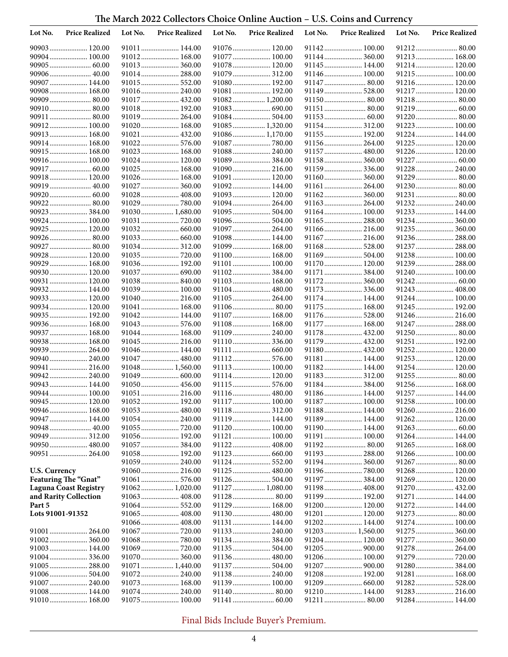### **The March 2022 Collectors Choice Online Auction – U.S. Coins and Currency**

| Lot No.              | <b>Price Realized</b>         | Lot No. | <b>Price Realized</b>         | Lot No. | <b>Price Realized</b>            | Lot No. | <b>Price Realized</b>          | Lot No. | <b>Price Realized</b>         |
|----------------------|-------------------------------|---------|-------------------------------|---------|----------------------------------|---------|--------------------------------|---------|-------------------------------|
|                      | 90903 120.00                  |         | 91011 144.00                  |         | 91076 120.00                     |         | 91142 100.00                   |         | 91212 80.00                   |
|                      | 90904 100.00                  |         | 91012 168.00                  |         | 91077  100.00                    |         |                                |         | 91213 168.00                  |
|                      |                               |         | 91013 360.00                  |         | 91078 120.00                     |         | 91145  144.00                  |         | 91214 120.00                  |
|                      | 90906 40.00                   |         | 91014 288.00                  |         | 91079  312.00                    |         | 91146 100.00                   |         | 91215 100.00                  |
|                      | 90907  144.00                 |         | 91015 552.00                  |         | 91080 192.00                     |         | 91147  80.00                   |         | 91216 120.00                  |
|                      | 90908 168.00                  |         | 91016 240.00                  |         | 91081  192.00                    |         |                                |         | 91217  120.00                 |
|                      |                               |         | 91017 432.00                  |         | 91082 1,200.00                   |         | 91150 80.00                    |         | 91218 80.00                   |
|                      | 90910 80.00                   |         | 91018 192.00                  |         | 91083 690.00                     |         |                                |         |                               |
|                      | 90911  80.00                  |         | 91019 264.00                  |         | 91084 504.00                     |         |                                |         | 91220 80.00                   |
|                      | 90912 100.00<br>90913 168.00  |         | 91020 168.00<br>91021  432.00 |         | 91085 1,320.00<br>91086 1,170.00 |         | 91154 312.00<br>91155 192.00   |         | 91223 100.00<br>91224  144.00 |
|                      | 90914 168.00                  |         | 91022 576.00                  |         | 91087  780.00                    |         | 91156 264.00                   |         | 91225  120.00                 |
|                      | 90915 168.00                  |         | 91023 168.00                  |         | 91088 240.00                     |         | 91157  480.00                  |         | 91226 120.00                  |
|                      | 90916 100.00                  |         | 91024 120.00                  |         | 91089 384.00                     |         | 91158 360.00                   |         | 91227  60.00                  |
|                      | 90917  60.00                  |         | 91025 168.00                  |         | 91090 216.00                     |         | 91159 336.00                   |         | 91228 240.00                  |
|                      | 90918 120.00                  |         | 91026 168.00                  |         | 91091 120.00                     |         | 91160 360.00                   |         | 91229  80.00                  |
|                      | 90919 40.00                   |         | 91027  360.00                 |         | 91092 144.00                     |         | 91161  264.00                  |         | 91230 80.00                   |
|                      | 90920 60.00                   |         | 91028 408.00                  |         | 91093 120.00                     |         | 91162 360.00                   |         | 91231  80.00                  |
|                      | 90922 80.00                   |         | 91029780.00                   |         |                                  |         | 91163 264.00                   |         | 91232 240.00                  |
|                      | 90923 384.00                  |         | 91030 1,680.00                |         | 91095 504.00                     |         | 91164 100.00                   |         | 91233 144.00                  |
|                      | 90924 100.00                  |         |                               |         | 91096 504.00                     |         |                                |         | 91234 360.00                  |
|                      | 90925  120.00                 |         | 91032 660.00                  |         | 91097  264.00                    |         | 91166 216.00                   |         |                               |
|                      | 90926 80.00                   |         | 91033 660.00                  |         | 91098 144.00                     |         | 91167 216.00                   |         | 91236 288.00                  |
|                      | 90927  80.00                  |         | 91034 312.00                  |         | 91099 168.00                     |         | 91168 528.00                   |         | 91237 288.00                  |
|                      | 90928 120.00                  |         |                               |         | 91100 168.00                     |         | 91169 504.00                   |         | 91238 100.00                  |
|                      | 90929  168.00<br>90930 120.00 |         | 91036 192.00<br>91037 690.00  |         | 91101 100.00                     |         | 91170 120.00                   |         | 91239 288.00                  |
|                      | 90931  120.00                 |         | 91038 840.00                  |         | 91103 168.00                     |         | 91171  384.00<br>91172 360.00  |         | 91240 100.00                  |
|                      | 90932 144.00                  |         | 91039 100.00                  |         | 91104 480.00                     |         |                                |         | 91243  408.00                 |
|                      | 90933 120.00                  |         | 91040 216.00                  |         | 91105 264.00                     |         | 91174 144.00                   |         | 91244 100.00                  |
|                      | 90934 120.00                  |         | 91041 168.00                  |         | 91106 80.00                      |         | 91175  168.00                  |         | 91245  192.00                 |
|                      | 90935  192.00                 |         | 91042 144.00                  |         | 91107 168.00                     |         | 91176 528.00                   |         | 91246 216.00                  |
|                      | 90936 168.00                  |         | 91043 576.00                  |         | 91108 168.00                     |         | 91177  168.00                  |         | 91247  288.00                 |
|                      | 90937  168.00                 |         | 91044 168.00                  |         | 91109 240.00                     |         | 91178  432.00                  |         | 91250 80.00                   |
|                      | 90938 168.00                  |         | 91045 216.00                  |         | 91110 336.00                     |         | 91179  432.00                  |         | 91251  192.00                 |
|                      | 90939 264.00                  |         | 91046 144.00                  |         | 91111  660.00                    |         |                                |         | 91252 120.00                  |
|                      | 90940 240.00                  |         | 91047  480.00                 |         |                                  |         | 91181 144.00                   |         |                               |
|                      | 90941  216.00                 |         | 91048 1,560.00                |         | 91113 100.00                     |         | 91182 144.00                   |         | 91254 120.00                  |
|                      | 90942 240.00                  |         | 91049 600.00                  |         | 91114 120.00                     |         | 91183 312.00                   |         | 91255 80.00                   |
|                      | 90943 144.00                  |         | 91050 456.00                  |         | 91115  576.00                    |         | 91184 384.00                   |         | 91256 168.00                  |
|                      | 90944  100.00                 |         | 91051 216.00                  |         |                                  |         | 91186 144.00                   |         | 91257  144.00                 |
|                      | 90945 120.00<br>90946 168.00  |         | 91052 192.00<br>91053 480.00  |         | 91117 100.00<br>91118 312.00     |         | 91187  100.00<br>91188 144.00  |         |                               |
|                      | 90947  144.00                 |         | 91054 240.00                  |         | 91119 144.00                     |         | 91189 144.00                   |         | 91262 120.00                  |
|                      |                               |         |                               |         | 91120 100.00                     |         | 91190 144.00                   |         |                               |
|                      | 90949  312.00                 |         | 91056 192.00                  |         | 91121  100.00                    |         | 91191  100.00                  |         | 91264 144.00                  |
|                      | 90950 480.00                  |         |                               |         | 91122 408.00                     |         |                                |         | 91265 168.00                  |
|                      | 90951  264.00                 |         | 91058 192.00                  |         |                                  |         | 91193 288.00                   |         | 91266 100.00                  |
|                      |                               |         | 91059 240.00                  |         |                                  |         | 91194 360.00                   |         | 91267  80.00                  |
| <b>U.S. Currency</b> |                               |         | 91060 216.00                  |         |                                  |         | 91196780.00                    |         | 91268 120.00                  |
|                      | Featuring The "Gnat"          |         |                               |         |                                  |         |                                |         | 91269 120.00                  |
|                      | <b>Laguna Coast Registry</b>  |         | 91062 1,020.00                |         | 91127  1,080.00                  |         | 91198 408.00                   |         | 91270 432.00                  |
|                      | and Rarity Collection         |         | 91063 408.00                  |         | 91128 80.00                      |         | 91199 192.00                   |         | 91271  144.00                 |
| Part 5               |                               |         | 91064 552.00                  |         | 91129 168.00                     |         | 91200 120.00                   |         | 91272 144.00                  |
| Lots 91001-91352     |                               |         |                               |         | 91130 480.00                     |         | 91201  120.00                  |         | 91273 80.00                   |
|                      |                               |         | 91066 408.00                  |         | 91131 144.00                     |         | 91202 144.00                   |         | 91274 100.00                  |
|                      | 91001  264.00                 |         |                               |         | 91133 240.00                     |         | 91203 1,560.00<br>91204 120.00 |         | 91275 360.00<br>91277  360.00 |
|                      | 91003 144.00                  |         |                               |         |                                  |         | 91205  900.00                  |         | 91278 264.00                  |
|                      |                               |         | 91070 360.00                  |         | 91136 480.00                     |         | 91206 100.00                   |         | 91279  720.00                 |
|                      | 91005  288.00                 |         | 91071  1,440.00               |         |                                  |         | 91207  900.00                  |         | 91280 384.00                  |
|                      |                               |         | 91072 240.00                  |         | 91138 240.00                     |         | 91208 192.00                   |         | 91281  168.00                 |
|                      | 91007  240.00                 |         | 91073 168.00                  |         | 91139 100.00                     |         |                                |         | 91282 528.00                  |
|                      | 91008 144.00                  |         | 91074 240.00                  |         |                                  |         | 91210 144.00                   |         | 91283 216.00                  |
|                      | 91010 168.00                  |         | 91075 100.00                  |         |                                  |         |                                |         | 91284 144.00                  |